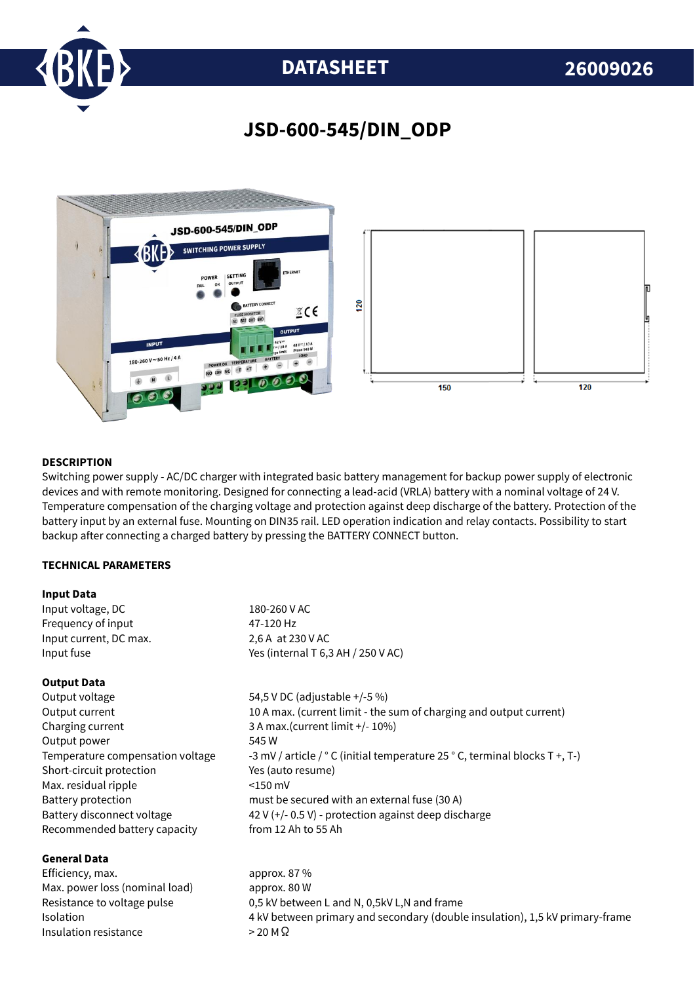

## **DATASHEET 26009026**

### **JSD-600-545/DIN\_ODP**



#### **DESCRIPTION**

Switching power supply - AC/DC charger with integrated basic battery management for backup power supply of electronic devices and with remote monitoring. Designed for connecting a lead-acid (VRLA) battery with a nominal voltage of 24 V. Temperature compensation of the charging voltage and protection against deep discharge of the battery. Protection of the battery input by an external fuse. Mounting on DIN35 rail. LED operation indication and relay contacts. Possibility to start backup after connecting a charged battery by pressing the BATTERY CONNECT button.

#### **TECHNICAL PARAMETERS**

#### **Input Data**

| Input voltage, DC      | 180-260 V AC                       |
|------------------------|------------------------------------|
| Frequency of input     | 47-120 Hz                          |
| Input current, DC max. | 2,6 A at 230 V AC                  |
| Input fuse             | Yes (internal T 6,3 AH / 250 V AC) |

#### **Output Data**

Output voltage 54,5 V DC (adjustable +/-5 %) Charging current 3 A max.(current limit +/- 10%) Output power 545 W Short-circuit protection Yes (auto resume) Max. residual ripple <150 mV Recommended battery capacity from 12 Ah to 55 Ah

### **General Data**

Efficiency, max. approx. 87 % Max. power loss (nominal load) approx. 80 W Insulation resistance  $>$  20 M  $\Omega$ 

Output current 10 A max. (current limit - the sum of charging and output current) Temperature compensation voltage  $-3$  mV / article /  $\degree$  C (initial temperature 25  $\degree$  C, terminal blocks T +, T-) Battery protection must be secured with an external fuse (30 A) Battery disconnect voltage 42 V (+/- 0.5 V) - protection against deep discharge

Resistance to voltage pulse 0,5 kV between L and N, 0,5kV L,N and frame Isolation 4 kV between primary and secondary (double insulation), 1,5 kV primary-frame